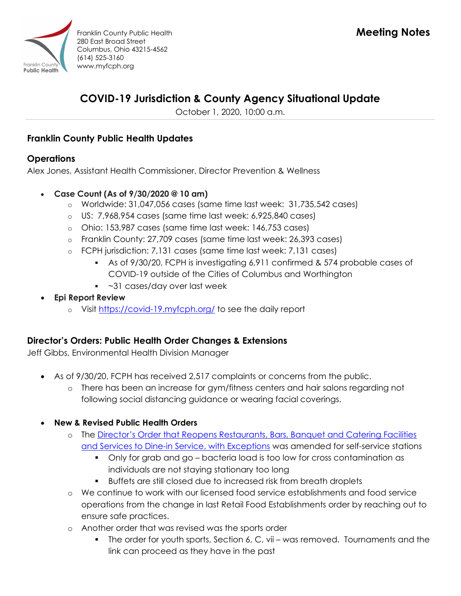

# COVID-19 Jurisdiction & County Agency Situational Update

October 1, 2020, 10:00 a.m.

# Franklin County Public Health Updates

# **Operations**

Alex Jones, Assistant Health Commissioner, Director Prevention & Wellness

- Case Count (As of 9/30/2020 @ 10 am)
	- $\circ$  Worldwide: 31,047,056 cases (same time last week: 31,735,542 cases)
	- o US: 7,968,954 cases (same time last week: 6,925,840 cases)
	- o Ohio: 153,987 cases (same time last week: 146,753 cases)
	- o Franklin County: 27,709 cases (same time last week: 26,393 cases)
	- o FCPH jurisdiction: 7,131 cases (same time last week: 7,131 cases)
		- As of 9/30/20, FCPH is investigating 6,911 confirmed & 574 probable cases of COVID-19 outside of the Cities of Columbus and Worthington
		- ~31 cases/day over last week
- Epi Report Review
	- o Visit https://covid-19.myfcph.org/ to see the daily report

# Director's Orders: Public Health Order Changes & Extensions

Jeff Gibbs, Environmental Health Division Manager

- As of 9/30/20, FCPH has received 2,517 complaints or concerns from the public.
	- o There has been an increase for gym/fitness centers and hair salons regarding not following social distancing guidance or wearing facial coverings.
- New & Revised Public Health Orders
	- o The Director's Order that Reopens Restaurants, Bars, Banquet and Catering Facilities and Services to Dine-in Service, with Exceptions was amended for self-service stations
		- Only for grab and go bacteria load is too low for cross contamination as individuals are not staying stationary too long
		- Buffets are still closed due to increased risk from breath droplets
	- o We continue to work with our licensed food service establishments and food service operations from the change in last Retail Food Establishments order by reaching out to ensure safe practices.
	- o Another order that was revised was the sports order
		- **The order for youth sports, Section 6, C, vii was removed. Tournaments and the** link can proceed as they have in the past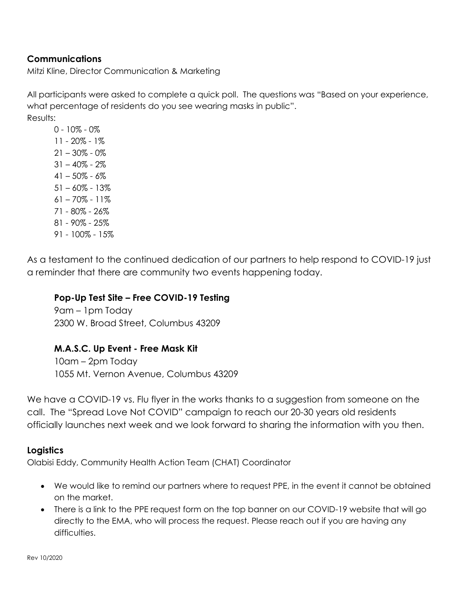## **Communications**

Mitzi Kline, Director Communication & Marketing

All participants were asked to complete a quick poll. The questions was "Based on your experience, what percentage of residents do you see wearing masks in public". Results:

 $0 - 10\% - 0\%$ 11 - 20% - 1%  $21 - 30\% - 0\%$  $31 - 40\% - 2\%$  $41 - 50\% - 6\%$ 51 – 60% - 13% 61 – 70% - 11% 71 - 80% - 26% 81 - 90% - 25% 91 - 100% - 15%

As a testament to the continued dedication of our partners to help respond to COVID-19 just a reminder that there are community two events happening today.

#### Pop-Up Test Site – Free COVID-19 Testing

9am – 1pm Today 2300 W. Broad Street, Columbus 43209

#### M.A.S.C. Up Event - Free Mask Kit

10am – 2pm Today 1055 Mt. Vernon Avenue, Columbus 43209

We have a COVID-19 vs. Flu flyer in the works thanks to a suggestion from someone on the call. The "Spread Love Not COVID" campaign to reach our 20-30 years old residents officially launches next week and we look forward to sharing the information with you then.

#### **Logistics**

Olabisi Eddy, Community Health Action Team (CHAT) Coordinator

- We would like to remind our partners where to request PPE, in the event it cannot be obtained on the market.
- There is a link to the PPE request form on the top banner on our COVID-19 website that will go directly to the EMA, who will process the request. Please reach out if you are having any difficulties.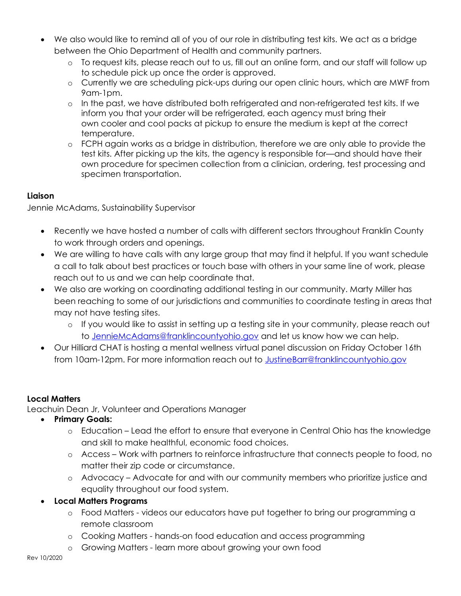- We also would like to remind all of you of our role in distributing test kits. We act as a bridge between the Ohio Department of Health and community partners.
	- o To request kits, please reach out to us, fill out an online form, and our staff will follow up to schedule pick up once the order is approved.
	- o Currently we are scheduling pick-ups during our open clinic hours, which are MWF from 9am-1pm.
	- o In the past, we have distributed both refrigerated and non-refrigerated test kits. If we inform you that your order will be refrigerated, each agency must bring their own cooler and cool packs at pickup to ensure the medium is kept at the correct temperature.
	- o FCPH again works as a bridge in distribution, therefore we are only able to provide the test kits. After picking up the kits, the agency is responsible for—and should have their own procedure for specimen collection from a clinician, ordering, test processing and specimen transportation.

### Liaison

Jennie McAdams, Sustainability Supervisor

- Recently we have hosted a number of calls with different sectors throughout Franklin County to work through orders and openings.
- We are willing to have calls with any large group that may find it helpful. If you want schedule a call to talk about best practices or touch base with others in your same line of work, please reach out to us and we can help coordinate that.
- We also are working on coordinating additional testing in our community. Marty Miller has been reaching to some of our jurisdictions and communities to coordinate testing in areas that may not have testing sites.
	- o If you would like to assist in setting up a testing site in your community, please reach out to JennieMcAdams@franklincountyohio.gov and let us know how we can help.
- Our Hilliard CHAT is hosting a mental wellness virtual panel discussion on Friday October 16th from 10am-12pm. For more information reach out to JustineBarr@franklincountyohio.gov

# Local Matters

Leachuin Dean Jr, Volunteer and Operations Manager

- Primary Goals:
	- o Education Lead the effort to ensure that everyone in Central Ohio has the knowledge and skill to make healthful, economic food choices.
	- o Access Work with partners to reinforce infrastructure that connects people to food, no matter their zip code or circumstance.
	- o Advocacy Advocate for and with our community members who prioritize justice and equality throughout our food system.
- Local Matters Programs
	- o Food Matters videos our educators have put together to bring our programming a remote classroom
	- o Cooking Matters hands-on food education and access programming
	- o Growing Matters learn more about growing your own food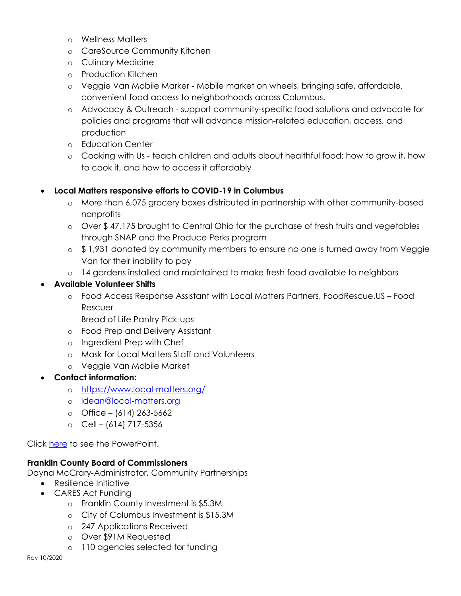- o Wellness Matters
- o CareSource Community Kitchen
- o Culinary Medicine
- o Production Kitchen
- o Veggie Van Mobile Marker Mobile market on wheels, bringing safe, affordable, convenient food access to neighborhoods across Columbus.
- o Advocacy & Outreach support community-specific food solutions and advocate for policies and programs that will advance mission-related education, access, and production
- o Education Center
- o Cooking with Us teach children and adults about healthful food: how to grow it, how to cook it, and how to access it affordably

### Local Matters responsive efforts to COVID-19 in Columbus

- o More than 6,075 grocery boxes distributed in partnership with other community-based nonprofits
- $\circ$  Over \$47,175 brought to Central Ohio for the purchase of fresh fruits and vegetables through SNAP and the Produce Perks program
- $\circ$  \$ 1,931 donated by community members to ensure no one is turned away from Veggie Van for their inability to pay
- o 14 gardens installed and maintained to make fresh food available to neighbors

### Available Volunteer Shifts

- o Food Access Response Assistant with Local Matters Partners, FoodRescue.US Food Rescuer
	- Bread of Life Pantry Pick-ups
- o Food Prep and Delivery Assistant
- o Ingredient Prep with Chef
- o Mask for Local Matters Staff and Volunteers
- o Veggie Van Mobile Market

# Contact information:

- o https://www.local-matters.org/
- o ldean@local-matters.org
- $O$  Office (614) 263-5662
- $O$  Cell (614) 717-5356

Click here to see the PowerPoint.

#### Franklin County Board of Commissioners

Dayna McCrary-Administrator, Community Partnerships

- Resilience Initiative
- CARES Act Funding
	- o Franklin County Investment is \$5.3M
	- o City of Columbus Investment is \$15.3M
	- o 247 Applications Received
	- o Over \$91M Requested
	- o 110 agencies selected for funding